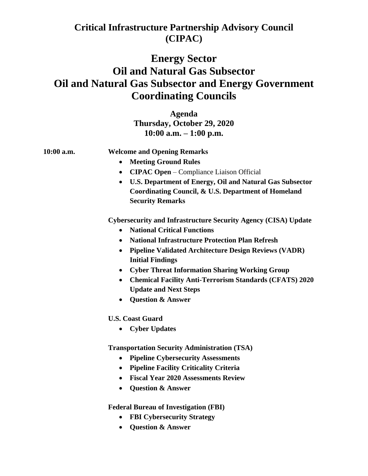## **Critical Infrastructure Partnership Advisory Council (CIPAC)**

## **Energy Sector Oil and Natural Gas Subsector Oil and Natural Gas Subsector and Energy Government Coordinating Councils**

**Agenda Thursday, October 29, 2020 10:00 a.m. – 1:00 p.m.** 

## **10:00 a.m. Welcome and Opening Remarks**

- **Meeting Ground Rules**
- **CIPAC Open**  Compliance Liaison Official
- **U.S. Department of Energy, Oil and Natural Gas Subsector Coordinating Council, & U.S. Department of Homeland Security Remarks**

**Cybersecurity and Infrastructure Security Agency (CISA) Update** 

- **National Critical Functions**
- **National Infrastructure Protection Plan Refresh**
- **Pipeline Validated Architecture Design Reviews (VADR) Initial Findings**
- **Cyber Threat Information Sharing Working Group**
- **Chemical Facility Anti-Terrorism Standards (CFATS) 2020 Update and Next Steps**
- **Question & Answer**

**U.S. Coast Guard** 

• **Cyber Updates**

**Transportation Security Administration (TSA)**

- **Pipeline Cybersecurity Assessments**
- **Pipeline Facility Criticality Criteria**
- **Fiscal Year 2020 Assessments Review**
- **Question & Answer**

**Federal Bureau of Investigation (FBI)**

- **FBI Cybersecurity Strategy**
- **Question & Answer**